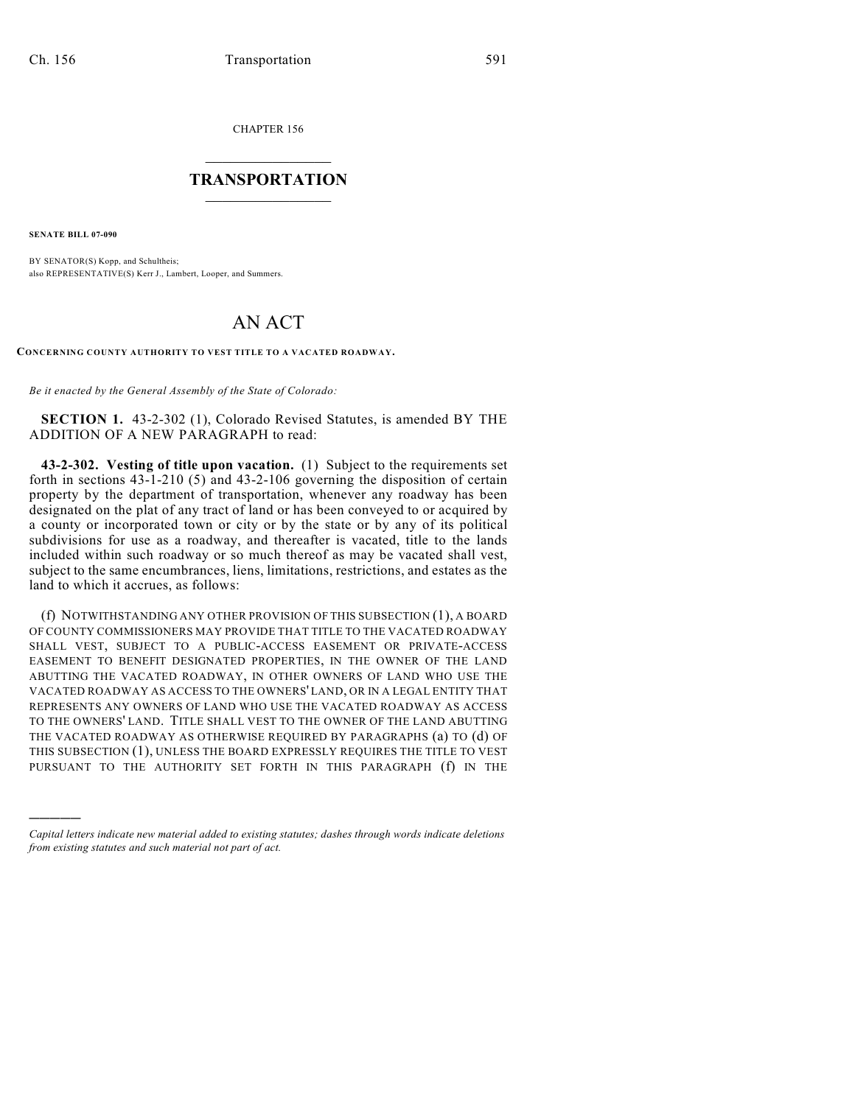CHAPTER 156

## $\mathcal{L}_\text{max}$  . The set of the set of the set of the set of the set of the set of the set of the set of the set of the set of the set of the set of the set of the set of the set of the set of the set of the set of the set **TRANSPORTATION**  $\_$   $\_$   $\_$   $\_$   $\_$   $\_$   $\_$   $\_$   $\_$   $\_$

**SENATE BILL 07-090**

)))))

BY SENATOR(S) Kopp, and Schultheis; also REPRESENTATIVE(S) Kerr J., Lambert, Looper, and Summers.

## AN ACT

**CONCERNING COUNTY AUTHORITY TO VEST TITLE TO A VACATED ROADWAY.**

*Be it enacted by the General Assembly of the State of Colorado:*

**SECTION 1.** 43-2-302 (1), Colorado Revised Statutes, is amended BY THE ADDITION OF A NEW PARAGRAPH to read:

**43-2-302. Vesting of title upon vacation.** (1) Subject to the requirements set forth in sections 43-1-210 (5) and 43-2-106 governing the disposition of certain property by the department of transportation, whenever any roadway has been designated on the plat of any tract of land or has been conveyed to or acquired by a county or incorporated town or city or by the state or by any of its political subdivisions for use as a roadway, and thereafter is vacated, title to the lands included within such roadway or so much thereof as may be vacated shall vest, subject to the same encumbrances, liens, limitations, restrictions, and estates as the land to which it accrues, as follows:

(f) NOTWITHSTANDING ANY OTHER PROVISION OF THIS SUBSECTION (1), A BOARD OF COUNTY COMMISSIONERS MAY PROVIDE THAT TITLE TO THE VACATED ROADWAY SHALL VEST, SUBJECT TO A PUBLIC-ACCESS EASEMENT OR PRIVATE-ACCESS EASEMENT TO BENEFIT DESIGNATED PROPERTIES, IN THE OWNER OF THE LAND ABUTTING THE VACATED ROADWAY, IN OTHER OWNERS OF LAND WHO USE THE VACATED ROADWAY AS ACCESS TO THE OWNERS' LAND, OR IN A LEGAL ENTITY THAT REPRESENTS ANY OWNERS OF LAND WHO USE THE VACATED ROADWAY AS ACCESS TO THE OWNERS' LAND. TITLE SHALL VEST TO THE OWNER OF THE LAND ABUTTING THE VACATED ROADWAY AS OTHERWISE REQUIRED BY PARAGRAPHS (a) TO (d) OF THIS SUBSECTION (1), UNLESS THE BOARD EXPRESSLY REQUIRES THE TITLE TO VEST PURSUANT TO THE AUTHORITY SET FORTH IN THIS PARAGRAPH (f) IN THE

*Capital letters indicate new material added to existing statutes; dashes through words indicate deletions from existing statutes and such material not part of act.*